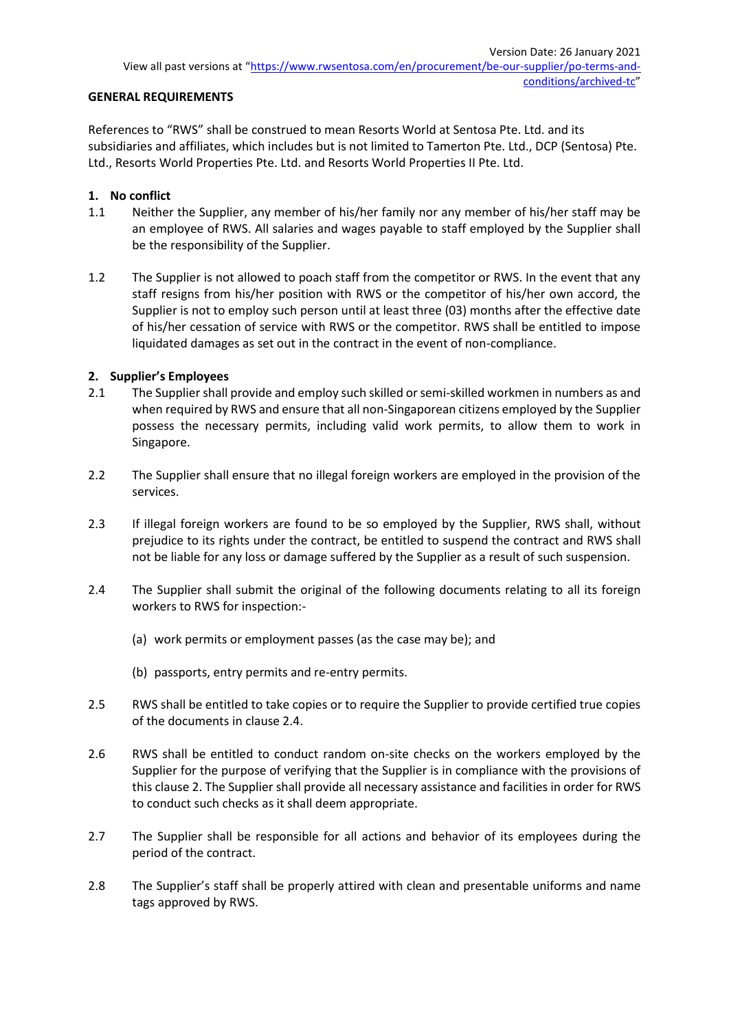### **GENERAL REQUIREMENTS**

References to "RWS" shall be construed to mean Resorts World at Sentosa Pte. Ltd. and its subsidiaries and affiliates, which includes but is not limited to Tamerton Pte. Ltd., DCP (Sentosa) Pte. Ltd., Resorts World Properties Pte. Ltd. and Resorts World Properties II Pte. Ltd.

## **1. No conflict**

- 1.1 Neither the Supplier, any member of his/her family nor any member of his/her staff may be an employee of RWS. All salaries and wages payable to staff employed by the Supplier shall be the responsibility of the Supplier.
- 1.2 The Supplier is not allowed to poach staff from the competitor or RWS. In the event that any staff resigns from his/her position with RWS or the competitor of his/her own accord, the Supplier is not to employ such person until at least three (03) months after the effective date of his/her cessation of service with RWS or the competitor. RWS shall be entitled to impose liquidated damages as set out in the contract in the event of non-compliance.

### **2. Supplier's Employees**

- 2.1 The Supplier shall provide and employ such skilled or semi-skilled workmen in numbers as and when required by RWS and ensure that all non-Singaporean citizens employed by the Supplier possess the necessary permits, including valid work permits, to allow them to work in Singapore.
- 2.2 The Supplier shall ensure that no illegal foreign workers are employed in the provision of the services.
- 2.3 If illegal foreign workers are found to be so employed by the Supplier, RWS shall, without prejudice to its rights under the contract, be entitled to suspend the contract and RWS shall not be liable for any loss or damage suffered by the Supplier as a result of such suspension.
- 2.4 The Supplier shall submit the original of the following documents relating to all its foreign workers to RWS for inspection:-
	- (a) work permits or employment passes (as the case may be); and
	- (b) passports, entry permits and re-entry permits.
- 2.5 RWS shall be entitled to take copies or to require the Supplier to provide certified true copies of the documents in clause 2.4.
- 2.6 RWS shall be entitled to conduct random on-site checks on the workers employed by the Supplier for the purpose of verifying that the Supplier is in compliance with the provisions of this clause 2. The Supplier shall provide all necessary assistance and facilities in order for RWS to conduct such checks as it shall deem appropriate.
- 2.7 The Supplier shall be responsible for all actions and behavior of its employees during the period of the contract.
- 2.8 The Supplier's staff shall be properly attired with clean and presentable uniforms and name tags approved by RWS.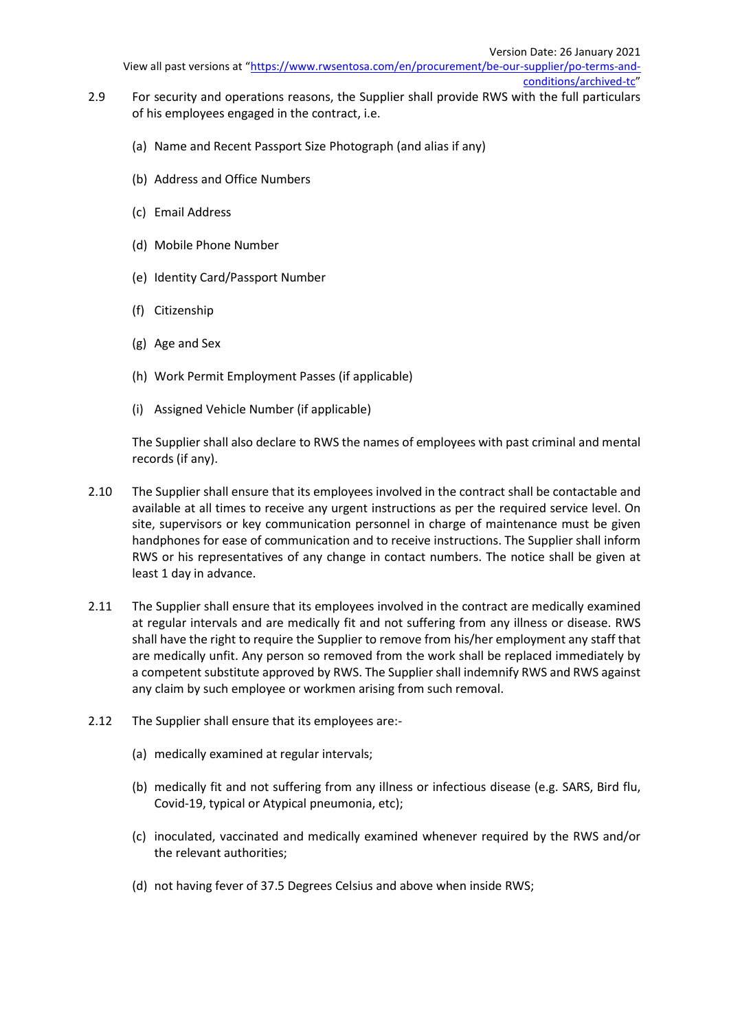- 2.9 For security and operations reasons, the Supplier shall provide RWS with the full particulars of his employees engaged in the contract, i.e.
	- (a) Name and Recent Passport Size Photograph (and alias if any)
	- (b) Address and Office Numbers
	- (c) Email Address
	- (d) Mobile Phone Number
	- (e) Identity Card/Passport Number
	- (f) Citizenship
	- (g) Age and Sex
	- (h) Work Permit Employment Passes (if applicable)
	- (i) Assigned Vehicle Number (if applicable)

The Supplier shall also declare to RWS the names of employees with past criminal and mental records (if any).

- 2.10 The Supplier shall ensure that its employees involved in the contract shall be contactable and available at all times to receive any urgent instructions as per the required service level. On site, supervisors or key communication personnel in charge of maintenance must be given handphones for ease of communication and to receive instructions. The Supplier shall inform RWS or his representatives of any change in contact numbers. The notice shall be given at least 1 day in advance.
- 2.11 The Supplier shall ensure that its employees involved in the contract are medically examined at regular intervals and are medically fit and not suffering from any illness or disease. RWS shall have the right to require the Supplier to remove from his/her employment any staff that are medically unfit. Any person so removed from the work shall be replaced immediately by a competent substitute approved by RWS. The Supplier shall indemnify RWS and RWS against any claim by such employee or workmen arising from such removal.
- 2.12 The Supplier shall ensure that its employees are:-
	- (a) medically examined at regular intervals;
	- (b) medically fit and not suffering from any illness or infectious disease (e.g. SARS, Bird flu, Covid-19, typical or Atypical pneumonia, etc);
	- (c) inoculated, vaccinated and medically examined whenever required by the RWS and/or the relevant authorities;
	- (d) not having fever of 37.5 Degrees Celsius and above when inside RWS;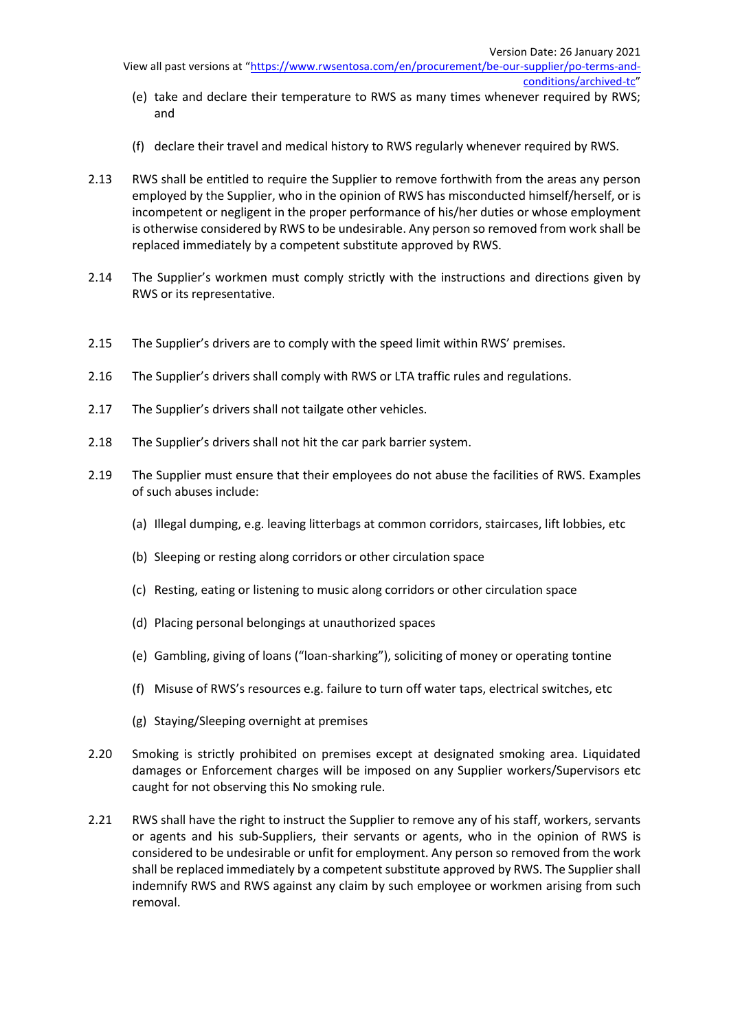- (e) take and declare their temperature to RWS as many times whenever required by RWS; and
- (f) declare their travel and medical history to RWS regularly whenever required by RWS.
- 2.13 RWS shall be entitled to require the Supplier to remove forthwith from the areas any person employed by the Supplier, who in the opinion of RWS has misconducted himself/herself, or is incompetent or negligent in the proper performance of his/her duties or whose employment is otherwise considered by RWS to be undesirable. Any person so removed from work shall be replaced immediately by a competent substitute approved by RWS.
- 2.14 The Supplier's workmen must comply strictly with the instructions and directions given by RWS or its representative.
- 2.15 The Supplier's drivers are to comply with the speed limit within RWS' premises.
- 2.16 The Supplier's drivers shall comply with RWS or LTA traffic rules and regulations.
- 2.17 The Supplier's drivers shall not tailgate other vehicles.
- 2.18 The Supplier's drivers shall not hit the car park barrier system.
- 2.19 The Supplier must ensure that their employees do not abuse the facilities of RWS. Examples of such abuses include:
	- (a) Illegal dumping, e.g. leaving litterbags at common corridors, staircases, lift lobbies, etc
	- (b) Sleeping or resting along corridors or other circulation space
	- (c) Resting, eating or listening to music along corridors or other circulation space
	- (d) Placing personal belongings at unauthorized spaces
	- (e) Gambling, giving of loans ("loan-sharking"), soliciting of money or operating tontine
	- (f) Misuse of RWS's resources e.g. failure to turn off water taps, electrical switches, etc
	- (g) Staying/Sleeping overnight at premises
- 2.20 Smoking is strictly prohibited on premises except at designated smoking area. Liquidated damages or Enforcement charges will be imposed on any Supplier workers/Supervisors etc caught for not observing this No smoking rule.
- 2.21 RWS shall have the right to instruct the Supplier to remove any of his staff, workers, servants or agents and his sub-Suppliers, their servants or agents, who in the opinion of RWS is considered to be undesirable or unfit for employment. Any person so removed from the work shall be replaced immediately by a competent substitute approved by RWS. The Supplier shall indemnify RWS and RWS against any claim by such employee or workmen arising from such removal.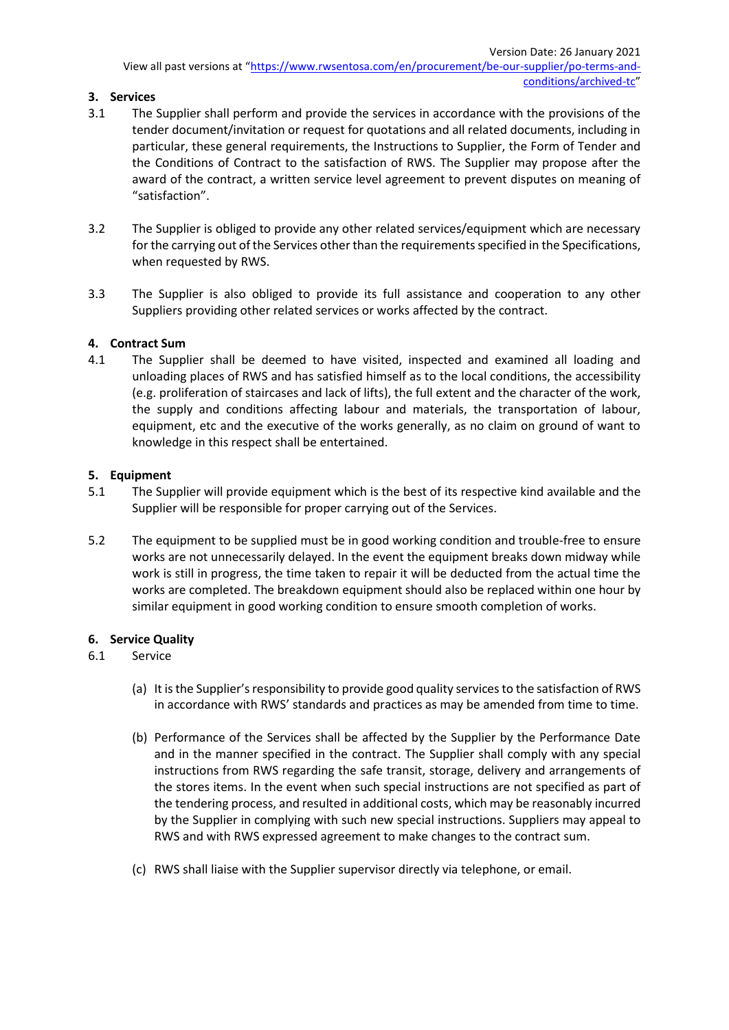# **3. Services**

- 3.1 The Supplier shall perform and provide the services in accordance with the provisions of the tender document/invitation or request for quotations and all related documents, including in particular, these general requirements, the Instructions to Supplier, the Form of Tender and the Conditions of Contract to the satisfaction of RWS. The Supplier may propose after the award of the contract, a written service level agreement to prevent disputes on meaning of "satisfaction".
- 3.2 The Supplier is obliged to provide any other related services/equipment which are necessary for the carrying out of the Services other than the requirements specified in the Specifications, when requested by RWS.
- 3.3 The Supplier is also obliged to provide its full assistance and cooperation to any other Suppliers providing other related services or works affected by the contract.

### **4. Contract Sum**

4.1 The Supplier shall be deemed to have visited, inspected and examined all loading and unloading places of RWS and has satisfied himself as to the local conditions, the accessibility (e.g. proliferation of staircases and lack of lifts), the full extent and the character of the work, the supply and conditions affecting labour and materials, the transportation of labour, equipment, etc and the executive of the works generally, as no claim on ground of want to knowledge in this respect shall be entertained.

### **5. Equipment**

- 5.1 The Supplier will provide equipment which is the best of its respective kind available and the Supplier will be responsible for proper carrying out of the Services.
- 5.2 The equipment to be supplied must be in good working condition and trouble-free to ensure works are not unnecessarily delayed. In the event the equipment breaks down midway while work is still in progress, the time taken to repair it will be deducted from the actual time the works are completed. The breakdown equipment should also be replaced within one hour by similar equipment in good working condition to ensure smooth completion of works.

# **6. Service Quality**

# 6.1 Service

- (a) It is the Supplier's responsibility to provide good quality services to the satisfaction of RWS in accordance with RWS' standards and practices as may be amended from time to time.
- (b) Performance of the Services shall be affected by the Supplier by the Performance Date and in the manner specified in the contract. The Supplier shall comply with any special instructions from RWS regarding the safe transit, storage, delivery and arrangements of the stores items. In the event when such special instructions are not specified as part of the tendering process, and resulted in additional costs, which may be reasonably incurred by the Supplier in complying with such new special instructions. Suppliers may appeal to RWS and with RWS expressed agreement to make changes to the contract sum.
- (c) RWS shall liaise with the Supplier supervisor directly via telephone, or email.